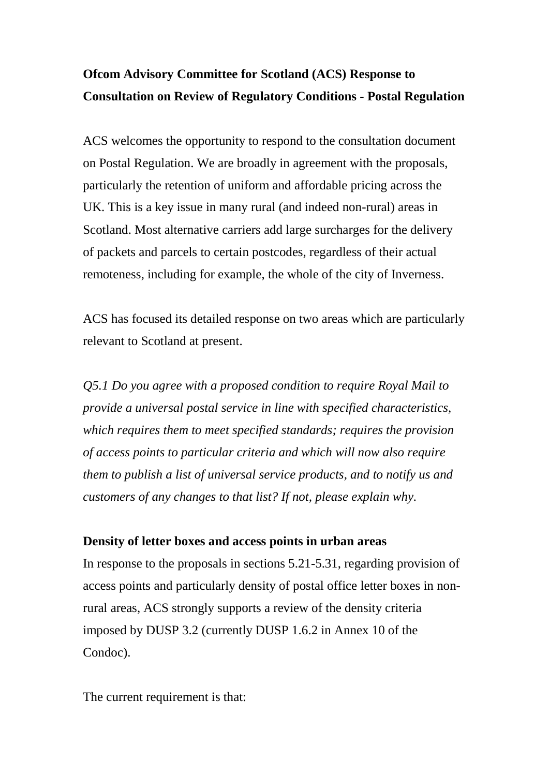## **Ofcom Advisory Committee for Scotland (ACS) Response to Consultation on Review of Regulatory Conditions - Postal Regulation**

ACS welcomes the opportunity to respond to the consultation document on Postal Regulation. We are broadly in agreement with the proposals, particularly the retention of uniform and affordable pricing across the UK. This is a key issue in many rural (and indeed non-rural) areas in Scotland. Most alternative carriers add large surcharges for the delivery of packets and parcels to certain postcodes, regardless of their actual remoteness, including for example, the whole of the city of Inverness.

ACS has focused its detailed response on two areas which are particularly relevant to Scotland at present.

*Q5.1 Do you agree with a proposed condition to require Royal Mail to provide a universal postal service in line with specified characteristics, which requires them to meet specified standards; requires the provision of access points to particular criteria and which will now also require them to publish a list of universal service products, and to notify us and customers of any changes to that list? If not, please explain why.*

## **Density of letter boxes and access points in urban areas**

In response to the proposals in sections 5.21-5.31, regarding provision of access points and particularly density of postal office letter boxes in nonrural areas, ACS strongly supports a review of the density criteria imposed by DUSP 3.2 (currently DUSP 1.6.2 in Annex 10 of the Condoc).

The current requirement is that: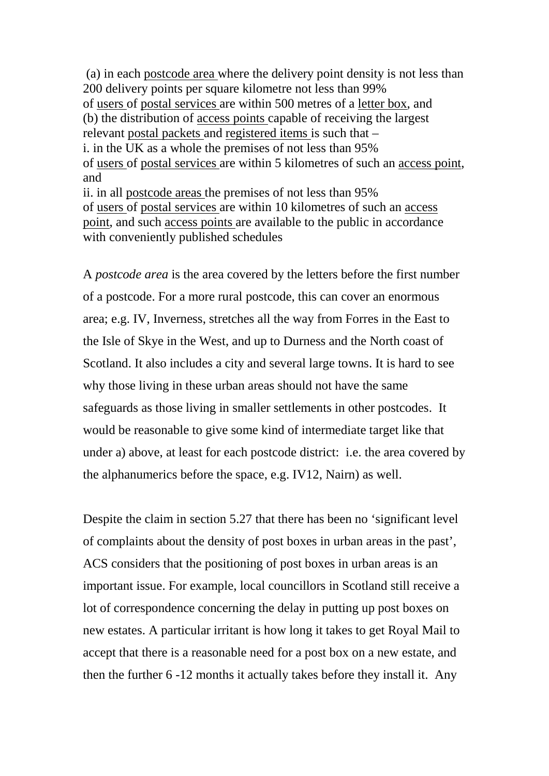(a) in each postcode area where the delivery point density is not less than 200 delivery points per square kilometre not less than 99% of <u>users</u> of postal services are within 500 metres of a <u>letter box</u>, and (b) the distribution of access points capable of receiving the largest relevant postal packets and registered items is such that – i. in the UK as a whole the premises of not less than 95% of users of postal services are within 5 kilometres of such an access point, ii. in all postcode areas the premises of not less than 95% and of users of postal services are within 10 kilometres of such an access point, and such access points are available to the public in accordance with conveniently published schedules

A *postcode area* is the area covered by the letters before the first number of a postcode. For a more rural postcode, this can cover an enormous area; e.g. IV, Inverness, stretches all the way from Forres in the East to the Isle of Skye in the West, and up to Durness and the North coast of Scotland. It also includes a city and several large towns. It is hard to see why those living in these urban areas should not have the same safeguards as those living in smaller settlements in other postcodes. It would be reasonable to give some kind of intermediate target like that under a) above, at least for each postcode district: i.e. the area covered by the alphanumerics before the space, e.g. IV12, Nairn) as well.

Despite the claim in section 5.27 that there has been no 'significant level of complaints about the density of post boxes in urban areas in the past', ACS considers that the positioning of post boxes in urban areas is an important issue. For example, local councillors in Scotland still receive a lot of correspondence concerning the delay in putting up post boxes on new estates. A particular irritant is how long it takes to get Royal Mail to accept that there is a reasonable need for a post box on a new estate, and then the further 6 -12 months it actually takes before they install it. Any